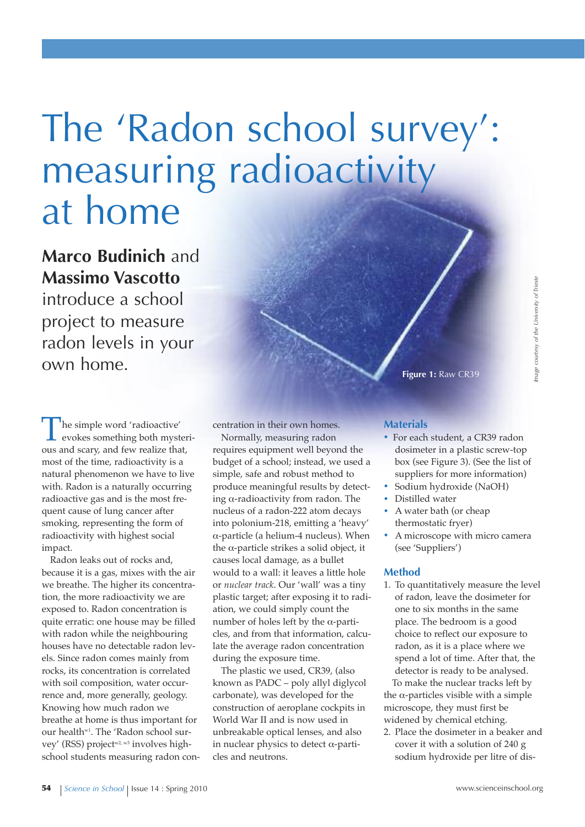# The 'Radon school survey': measuring radioactivity at home

# **Marco Budinich** and **Massimo vascotto**

introduce a school project to measure radon levels in your own home.

The simple word 'radioactive' evokes something both mysterious and scary, and few realize that, most of the time, radioactivity is a natural phenomenon we have to live with. Radon is a naturally occurring radioactive gas and is the most frequent cause of lung cancer after smoking, representing the form of radioactivity with highest social impact.

Radon leaks out of rocks and, because it is a gas, mixes with the air we breathe. The higher its concentration, the more radioactivity we are exposed to. Radon concentration is quite erratic: one house may be filled with radon while the neighbouring houses have no detectable radon levels. Since radon comes mainly from rocks, its concentration is correlated with soil composition, water occurrence and, more generally, geology. Knowing how much radon we breathe at home is thus important for our health<sup>w1</sup>. The 'Radon school survey' (RSS) project<sup>w2, w3</sup> involves highschool students measuring radon concentration in their own homes.

Normally, measuring radon requires equipment well beyond the budget of a school; instead, we used a simple, safe and robust method to produce meaningful results by detecting α-radioactivity from radon. The nucleus of a radon-222 atom decays into polonium-218, emitting a 'heavy' α-particle (a helium-4 nucleus). When the α-particle strikes a solid object, it causes local damage, as a bullet would to a wall: it leaves a little hole or *nuclear track*. Our 'wall' was a tiny plastic target; after exposing it to radiation, we could simply count the number of holes left by the α-particles, and from that information, calculate the average radon concentration during the exposure time.

The plastic we used, CR39, (also known as PADC – poly allyl diglycol carbonate), was developed for the construction of aeroplane cockpits in World War II and is now used in unbreakable optical lenses, and also in nuclear physics to detect  $\alpha$ -particles and neutrons.

# **Figure 1:** Raw CR39

#### **Materials**

- **·** For each student, <sup>a</sup> CR39 radon dosimeter in a plastic screw-top box (see Figure 3). (See the list of suppliers for more information)
- **·** Sodium hydroxide (NaOH)
- **·** Distilled water
- **·** <sup>A</sup> water bath (or cheap thermostatic fryer)
- **·** <sup>A</sup> microscope with micro camera (see 'Suppliers')

#### **Method**

- 1. To quantitatively measure the level of radon, leave the dosimeter for one to six months in the same place. The bedroom is a good choice to reflect our exposure to radon, as it is a place where we spend a lot of time. After that, the detector is ready to be analysed. To make the nuclear tracks left by the α-particles visible with a simple microscope, they must first be widened by chemical etching.
- 2. Place the dosimeter in a beaker and cover it with a solution of 240 g sodium hydroxide per litre of dis-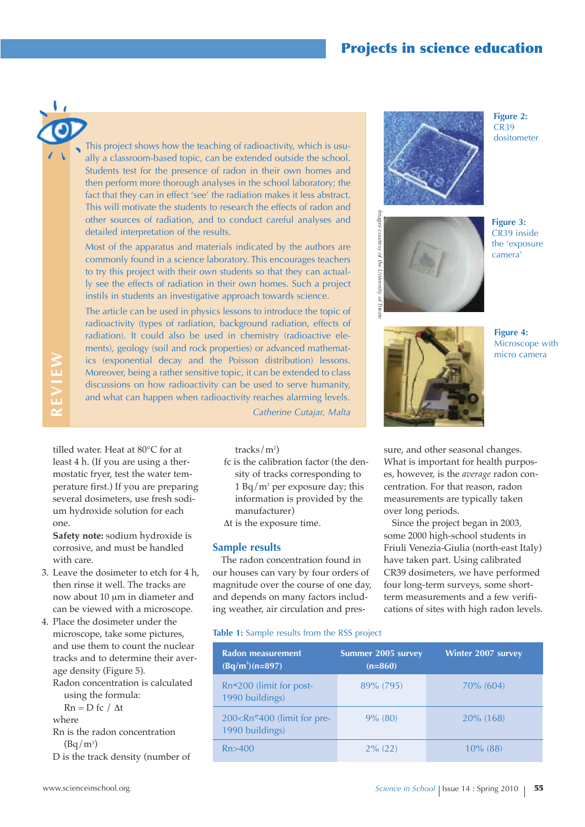### **Projects in science education**

**REvIE W**

This project shows how the teaching of radioactivity, which is usually a classroom-based topic, can be extended outside the school. Students test for the presence of radon in their own homes and then perform more thorough analyses in the school laboratory; the fact that they can in effect 'see' the radiation makes it less abstract. This will motivate the students to research the effects of radon and other sources of radiation, and to conduct careful analyses and detailed interpretation of the results.

Most of the apparatus and materials indicated by the authors are commonly found in a science laboratory. This encourages teachers to try this project with their own students so that they can actually see the effects of radiation in their own homes. Such a project instils in students an investigative approach towards science.

The article can be used in physics lessons to introduce the topic of radioactivity (types of radiation, background radiation, effects of radiation). It could also be used in chemistry (radioactive elements), geology (soil and rock properties) or advanced mathematics (exponential decay and the Poisson distribution) lessons. Moreover, being a rather sensitive topic, it can be extended to class discussions on how radioactivity can be used to serve humanity, and what can happen when radioactivity reaches alarming levels.

*Catherine Cutajar, Malta*

tilled water. Heat at 80°C for at least 4 h. (If you are using a thermostatic fryer, test the water temperature first.) If you are preparing several dosimeters, use fresh sodium hydroxide solution for each one.

**Safety note:** sodium hydroxide is corrosive, and must be handled with care.

- 3. Leave the dosimeter to etch for 4 h, then rinse it well. The tracks are now about 10 um in diameter and can be viewed with a microscope.
- 4. Place the dosimeter under the microscope, take some pictures, and use them to count the nuclear tracks and to determine their average density (Figure 5).

Radon concentration is calculated using the formula:

 $Rn = D$  fc /  $\Delta t$ 

where

Rn is the radon concentration  $(Bq/m^3)$ 

D is the track density (number of

- tracks/m2 )
- fc is the calibration factor (the density of tracks corresponding to 1 Bq/m3 per exposure day; this information is provided by the manufacturer)
- $\Delta t$  is the exposure time.

#### **Sample results**

The radon concentration found in our houses can vary by four orders of magnitude over the course of one day, and depends on many factors including weather, air circulation and pres-

**Table 1:** Sample results from the RSS project

| Radon measurement<br>$(Bq/m^3)(n=897)$                           | <b>Summer 2005 survey</b><br>$(n=860)$ | <b>Winter 2007 survey</b> |
|------------------------------------------------------------------|----------------------------------------|---------------------------|
| $Rn \leq 200$ (limit for post-<br>1990 buildings)                | 89% (795)                              | $70\%$ (604)              |
| 200 <rn<400 (limit="" for="" pre-<br="">1990 buildings)</rn<400> | $9\%$ (80)                             | $20\%$ (168)              |
| Rn > 400                                                         | $2\%$ (22)                             | $10\%$ (88)               |



**Figure 2:**  $CR39$ dositometer





**Figure 3:** CR39 inside the 'exposure camera'



**Figure 4:** Microscope with micro camera

sure, and other seasonal changes. What is important for health purposes, however, is the *average* radon concentration. For that reason, radon measurements are typically taken over long periods.

Since the project began in 2003*,* some 2000 high-school students in Friuli Venezia-Giulia (north-east Italy) have taken part. Using calibrated CR39 dosimeters, we have performed four long-term surveys, some shortterm measurements and a few verifications of sites with high radon levels.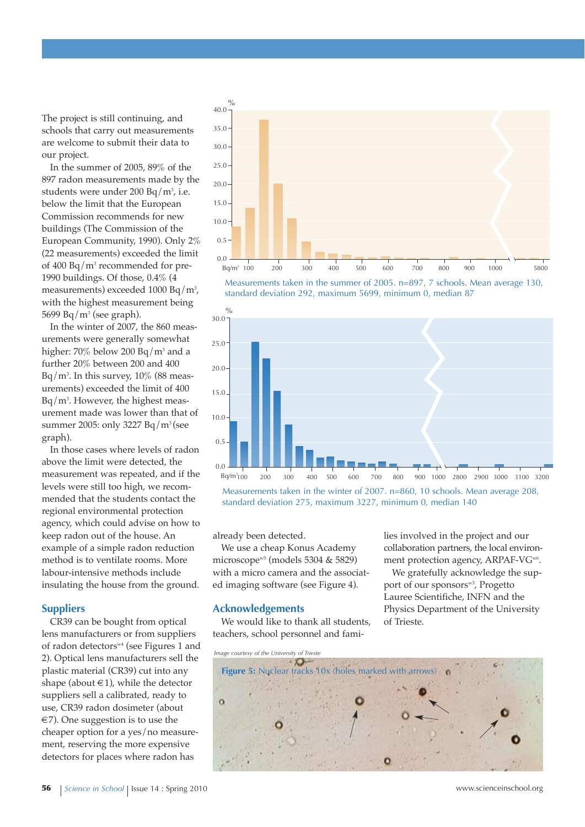The project is still continuing, and schools that carry out measurements are welcome to submit their data to our project.

In the summer of 2005, 89% of the 897 radon measurements made by the students were under 200 Bq/m<sup>3</sup>, i.e. below the limit that the European Commission recommends for new buildings (The Commission of the European Community, 1990). Only 2% (22 measurements) exceeded the limit of 400 Bq/m3 recommended for pre-1990 buildings. Of those, 0.4% (4 measurements) exceeded 1000 Bq/m3 , with the highest measurement being 5699 Bq/m<sup>3</sup> (see graph).

In the winter of 2007, the 860 measurements were generally somewhat higher: 70% below 200 Bq/m<sup>3</sup> and a further 20% between 200 and 400 Bq/m3 . In this survey, 10% (88 measurements) exceeded the limit of 400 Bq/m3 . However, the highest measurement made was lower than that of summer 2005: only 3227 Bq/m3 (see graph).

In those cases where levels of radon above the limit were detected, the measurement was repeated, and if the levels were still too high, we recommended that the students contact the regional environmental protection agency, which could advise on how to keep radon out of the house. An example of a simple radon reduction method is to ventilate rooms. More labour-intensive methods include insulating the house from the ground.

#### **Suppliers**

CR39 can be bought from optical lens manufacturers or from suppliers of radon detectors<sup>w4</sup> (see Figures 1 and 2). Optical lens manufacturers sell the plastic material (CR39) cut into any shape (about  $\in$  1), while the detector suppliers sell a calibrated, ready to use, CR39 radon dosimeter (about  $\epsilon$ 7). One suggestion is to use the cheaper option for a yes/no measurement, reserving the more expensive detectors for places where radon has







Measurements taken in the winter of 2007. n=860, 10 schools. Mean average 208, standard deviation 275, maximum 3227, minimum 0, median 140

already been detected.

We use a cheap Konus Academy microscopew5 (models 5304 & 5829) with a micro camera and the associated imaging software (see Figure 4).

#### **Acknowledgements**

We would like to thank all students, teachers, school personnel and families involved in the project and our collaboration partners, the local environment protection agency, ARPAF-VG<sup>w6</sup>.

We gratefully acknowledge the support of our sponsors<sup>w3</sup>, Progetto Lauree Scientifiche, INFN and the Physics Department of the University of Trieste.